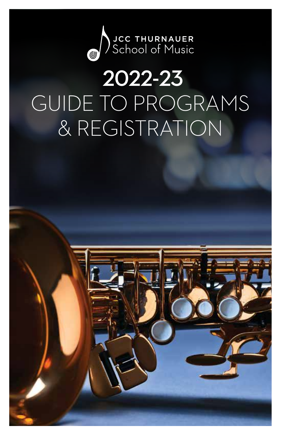

# 2022-23 GUIDE TO PROGRAMS & REGISTRATION

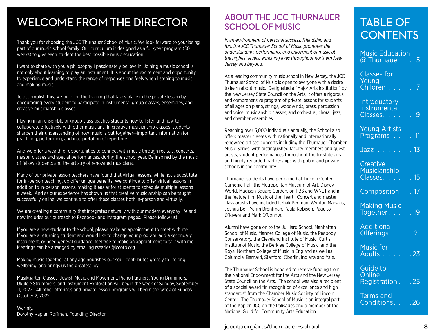## WELCOME FROM THE DIRECTOR

Thank you for choosing the JCC Thurnauer School of Music. We look forward to your being part of our music school family! Our curriculum is designed as a full-year program (30 weeks) to give each student the best possible music education.

I want to share with you a philosophy I passionately believe in: Joining a music school is not only about learning to play an instrument. It is about the excitement and opportunity to experience and understand the range of responses one feels when listening to music and making music.

To accomplish this, we build on the learning that takes place in the private lesson by encouraging every student to participate in instrumental group classes, ensembles, and creative musicianship classes.

Playing in an ensemble or group class teaches students how to listen and how to collaborate effectively with other musicians. In creative musicianship classes, students sharpen their understanding of how music is put together—important information for practicing, performing, and interpretation of repertoire.

And we offer a wealth of opportunities to connect with music through recitals, concerts, master classes and special performances, during the school year. Be inspired by the music of fellow students and the artistry of renowned musicians.

Many of our private lesson teachers have found that virtual lessons, while not a substitute for in-person teaching, do offer unique benefits. We continue to offer virtual lessons in addition to in-person lessons, making it easier for students to schedule multiple lessons a week. And as our experience has shown us that creative musicianship can be taught successfully online, we continue to offer these classes both in-person and virtually.

We are creating a community that integrates naturally with our modern everyday life and now includes our outreach to Facebook and Instagram pages. Please follow us!

If you are a new student to the school, please make an appointment to meet with me. If you are a returning student and would like to change your program, add a secondary instrument, or need general guidance, feel free to make an appointment to talk with me. Meetings can be arranged by emailing rsearles@jccotp.org.

Making music together at any age nourishes our soul, contributes greatly to lifelong wellbeing, and brings us the greatest joy.

Musikgarten Classes, Jewish Music and Movement, Piano Partners, Young Drummers, Ukulele Strummers, and Instrument Exploration will begin the week of Sunday, September 11, 2022. All other offerings and private lesson programs will begin the week of Sunday, October 2, 2022.

Warmly, Dorothy Kaplan Roffman, Founding Director

### ABOUT THE JCC THURNAUER SCHOOL OF MUSIC

*In an environment of personal success, friendship and fun, the JCC Thurnauer School of Music promotes the understanding, performance and enjoyment of music at the highest levels, enriching lives throughout northern New Jersey and beyond.* 

As a leading community music school in New Jersey, the JCC Thurnauer School of Music is open to everyone with a desire to learn about music. Designated a "Major Arts Institution" by the New Jersey State Council on the Arts, it offers a rigorous and comprehensive program of private lessons for students of all ages on piano, strings, woodwinds, brass, percussion and voice; musicianship classes; and orchestral, choral, jazz, and chamber ensembles.

Reaching over 5,000 individuals annually, the School also offers master classes with nationally and internationally renowned artists; concerts including the Thurnauer Chamber Music Series, with distinguished faculty members and guest artists; student performances throughout the tri-state area; and highly regarded partnerships with public and private schools in the community.

Thurnauer students have performed at Lincoln Center, Carnegie Hall, the Metropolitan Museum of Art, Disney World, Madison Square Garden, on PBS and WNET and in the feature film Music of the Heart. Concert and master class artists have included Itzhak Perlman, Wynton Marsalis, Joshua Bell, Yefim Bronfman, Paula Robison, Paquito D'Rivera and Mark O'Connor.

Alumni have gone on to the Juilliard School, Manhattan School of Music, Mannes College of Music, the Peabody Conservatory, the Cleveland Institute of Music, Curtis Institute of Music, the Berklee College of Music, and the Royal Northern College of Music in England as well as Columbia, Barnard, Stanford, Oberlin, Indiana and Yale.

The Thurnauer School is honored to receive funding from the National Endowment for the Arts and the New Jersey State Council on the Arts. The school was also a recipient of a special award "in recognition of excellence and high standards" from the Chamber Music Society of Lincoln Center. The Thurnauer School of Music is an integral part of the Kaplen JCC on the Palisades and a member of the National Guild for Community Arts Education.

#### **2** jccotp.org/arts/thurnauer-school **3**

## TABLE OF **CONTENTS**

| <b>Music Education</b><br>@ Thurnauer 5              |
|------------------------------------------------------|
| <b>Classes for</b><br>Young<br>Children 7            |
| Introductory<br>Instrumental<br>Classes. 9           |
| <b>Young Artists</b><br>Programs 11                  |
| Jazz <u>13</u>                                       |
| Creative<br>Musicianship<br>Classes. <mark>15</mark> |
| Composition 17                                       |
| Making Music<br>Together. 19                         |
| <b>Additional</b><br>Offerings 21                    |
| Music for<br>Adults 23                               |
| Guide to<br><b>Online</b><br>Registration 25         |
| <b>Terms and</b><br>Conditions. 26                   |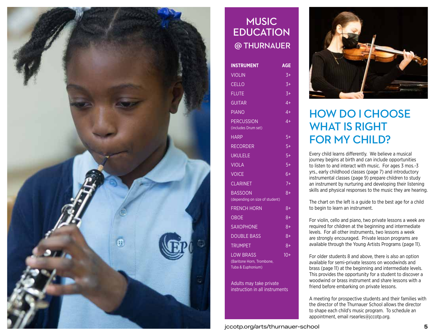

### **MUSIC** EDUCATION @ THURNAUER

| <b>INSTRUMENT</b>                                                  | <b>AGE</b>       |
|--------------------------------------------------------------------|------------------|
| <b>VIOLIN</b>                                                      | $3+$             |
| CELLO                                                              | $3+$             |
| <b>FLUTE</b>                                                       | $3+$             |
| <b>GUITAR</b>                                                      | $4+$             |
| <b>PIANO</b>                                                       | $4+$             |
| <b>PERCUSSION</b><br>(includes Drum set)                           | $4+$             |
| <b>HARP</b>                                                        | $5+$             |
| <b>RECORDER</b>                                                    | $5+$             |
| <b>UKULELE</b>                                                     | $5+$             |
| <b>VIOLA</b>                                                       | $5+$             |
| <b>VOICE</b>                                                       | $6+$             |
| <b>CLARINET</b>                                                    | $\overline{I^+}$ |
| <b>BASSOON</b><br>(depending on size of student)                   | $8+$             |
| <b>FRENCH HORN</b>                                                 | $8+$             |
| <b>OBOE</b>                                                        | 8+               |
| <b>SAXOPHONE</b>                                                   | $8+$             |
| <b>DOUBLE BASS</b>                                                 | $8+$             |
| <b>TRUMPET</b>                                                     | 8+               |
| <b>LOW BRASS</b><br>(Baritone Horn, Trombone,<br>Tuba & Euphonium) | $10+$            |

Adults may take private instruction in all instruments



## HOW DO I CHOOSE WHAT IS RIGHT FOR MY CHILD?

Every child learns differently. We believe a musical journey begins at birth and can include opportunities to listen to and interact with music. For ages 3 mos.-3 yrs., early childhood classes (page 7) and introductory instrumental classes (page 9) prepare children to study an instrument by nurturing and developing their listening skills and physical responses to the music they are hearing.

The chart on the left is a guide to the best age for a child to begin to learn an instrument.

For violin, cello and piano, two private lessons a week are required for children at the beginning and intermediate levels. For all other instruments, two lessons a week are strongly encouraged. Private lesson programs are available through the Young Artists Programs (page 11).

For older students 8 and above, there is also an option available for semi-private lessons on woodwinds and brass (page 11) at the beginning and intermediate levels. This provides the opportunity for a student to discover a woodwind or brass instrument and share lessons with a friend before embarking on private lessons.

A meeting for prospective students and their families with the director of the Thurnauer School allows the director to shape each child's music program. To schedule an appointment, email rsearles@jccotp.org.

**4** jccotp.org/arts/thurnauer-school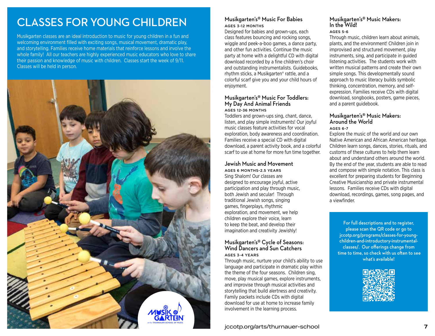## CLASSES FOR YOUNG CHILDREN

Musikgarten classes are an ideal introduction to music for young children in a fun and welcoming environment filled with exciting songs, musical movement, dramatic play, and storytelling. Families receive home materials that reinforce lessons and involve the whole family! All our teachers are highly experienced music educators who love to share their passion and knowledge of music with children. Classes start the week of 9/11. Classes will be held in person.



#### Musikgarten's® Music For Babies AGES 3-12 MONTHS

Designed for babies and grown-ups, each class features bouncing and rocking songs, wiggle and peek-a-boo games, a dance party, and other fun activities. Continue the music party at home with a delightful CD with digital download recorded by a fine children's choir and outstanding instrumentalists. Guidebooks, rhythm sticks, a Musikgarten® rattle, and a colorful scarf give you and your child hours of enjoyment.

#### Musikgarten's® Music For Toddlers: My Day And Animal Friends AGES 12-36 MONTHS

Toddlers and grown-ups sing, chant, dance, listen, and play simple instruments! Our joyful music classes feature activities for vocal exploration, body awareness and coordination. Families receive a special CD with digital download, a parent activity book, and a colorful scarf to use at home for more fun time together.

#### Jewish Music and Movement AGES 6 MONTHS-2.5 YEARS

Sing Shalom! Our classes are designed to encourage joyful, active participation and play through music, both Jewish and secular! Through traditional Jewish songs, singing games, fingerplays, rhythmic exploration, and movement, we help children explore their voice, learn to keep the beat, and develop their imagination and creativity Jewishly!

#### Musikgarten's® Cycle of Seasons: Wind Dancers and Sun Catchers AGES 3-4 YEARS

language and participate in dramatic play within the theme of the four seasons. Children sing, move, play musical games, explore instruments, and improvise through musical activities and attention and self-expression. Children sing, chant, move, chant, move, chant, move, chant, move, chant, move, storytelling that build alertness and creativity. Family packets include CDs with digital  $\frac{1}{2}$  seasons to use  $\frac{1}{2}$  above to use  $\frac{1}{2}$  above  $\frac{1}{2}$  above  $\frac{1}{2}$ download for use at home to increase family involvement in the learning process.  $\blacksquare$ Through music, nurture your child's ability to use

#### Musikgarten's® Music Makers: In the Wild!

#### AGES 5-6

Through music, children learn about animals, plants, and the environment! Children join in improvised and structured movement, play instruments, sing, and participate in guided listening activities. The students work with written musical patterns and create their own simple songs. This developmentally sound approach to music literacy builds symbolic thinking, concentration, memory, and selfexpression. Families receive CDs with digital download, songbooks, posters, game pieces, and a parent guidebook.

#### Musikgarten's® Music Makers: Around the World AGES 6-7

Explore the music of the world and our own Native American and African American heritage. Children learn songs, dances, stories, rituals, and customs of these cultures to help them learn about and understand others around the world. By the end of the year, students are able to read and compose with simple notation. This class is excellent for preparing students for Beginning Creative Musicianship and private instrumental lessons. Families receive CDs with digital download, recordings, games, song pages, and a viewfinder.

For full descriptions and to register, please scan the QR code or go to jccotp.org/programs/classes-for-youngchildren-and-introductory-instrumentalclasses/. Our offerings change from time to time, so check with us often to see what's available!

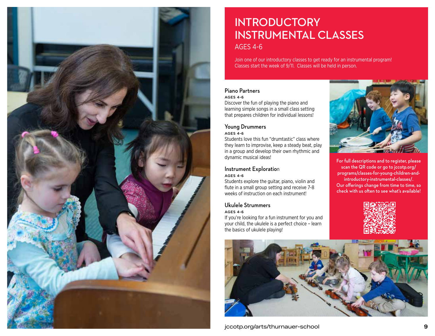

## **INTRODUCTORY** INSTRUMENTAL CLASSES

AGES 4-6

Join one of our introductory classes to get ready for an instrumental program! Classes start the week of 9/11. Classes will be held in person.

#### Piano Partners AGES 4-6

Discover the fun of playing the piano and learning simple songs in a small class setting that prepares children for individual lessons!

### Young Drummers

#### AGES 4-6

Students love this fun "drumtastic" class where they learn to improvise, keep a steady beat, play in a group and develop their own rhythmic and dynamic musical ideas!

#### Instrument Exploration AGES 4-6

Students explore the guitar, piano, violin and flute in a small group setting and receive 7-8 weeks of instruction on each instrument!

#### Ukulele Strummers

#### AGES 4-6

If you're looking for a fun instrument for you and your child, the ukulele is a perfect choice – learn the basics of ukulele playing!



For full descriptions and to register, please scan the QR code or go to jccotp.org/ programs/classes-for-young-children-andintroductory-instrumental-classes/.

Our offerings change from time to time, so check with us often to see what's available!





**8** jccotp.org/arts/thurnauer-school **9**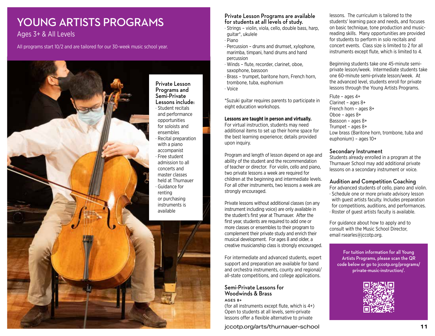### YOUNG ARTISTS PROGRAMS

Ages 3+ & All Levels

All programs start 10/2 and are tailored for our 30-week music school year.



#### Private Lesson Programs are available for students at all levels of study.

- ∙ Strings violin, viola, cello, double bass, harp, guitar\*, ukulele
- ∙ Piano
- ∙ Percussion drums and drumset, xylophone, marimba, timpani, hand drums and hand percussion
- ∙ Winds flute, recorder, clarinet, oboe, saxophone, bassoon
- ∙ Brass trumpet, baritone horn, French horn, trombone, tuba, euphonium
- ∙ Voice

\*Suzuki guitar requires parents to participate in eight education workshops.

#### **Lessons are taught in person and virtually.**

For virtual instruction, students may need additional items to set up their home space for the best learning experience; details provided upon inquiry.

Program and length of lesson depend on age and ability of the student and the recommendation of teacher or director. For violin, cello and piano, two private lessons a week are required for children at the beginning and intermediate levels. For all other instruments, two lessons a week are strongly encouraged.

Private lessons without additional classes (on any instrument including voice) are only available in the student's first year at Thurnauer. After the first year, students are required to add one or more classes or ensembles to their program to complement their private study and enrich their musical development. For ages 8 and older, a creative musicianship class is strongly encouraged.

For intermediate and advanced students, expert support and preparation are available for band and orchestra instruments, county and regional/ all-state competitions, and college applications.

#### Semi-Private Lessons for Woodwinds & Brass AGES 8+

(for all instruments except flute, which is 4+) Open to students at all levels, semi-private lessons offer a flexible alternative to private

**10** jccotp.org/arts/thurnauer-school **11**

lessons. The curriculum is tailored to the students' learning pace and needs, and focuses on basic technique, tone production and musicreading skills. Many opportunities are provided for students to perform in solo recitals and concert events. Class size is limited to 2 for all instruments except flute, which is limited to 4.

Beginning students take one 45-minute semiprivate lesson/week. Intermediate students take one 60-minute semi-private lesson/week. At the advanced level, students enroll for private lessons through the Young Artists Programs.

Flute – ages 4+ Clarinet – ages 8+ French horn – ages 8+ Oboe – ages 8+ Bassoon – ages 8+ Trumpet – ages 8+ Low brass (Baritone horn, trombone, tuba and euphonium) – ages 10+

#### Secondary Instrument

Students already enrolled in a program at the Thurnauer School may add additional private lessons on a secondary instrument or voice.

#### Audition and Competition Coaching

For advanced students of cello, piano and violin. ∙ Schedule one or more private advisory lesson with quest artists faculty. Includes preparation for competitions, auditions, and performances. ∙ Roster of guest artists faculty is available.

For guidance about how to apply and to consult with the Music School Director, email rsearles@jccotp.org.

For tuition information for all Young Artists Programs, please scan the QR code below or go to jccotp.org/programs/ private-music-instruction/.

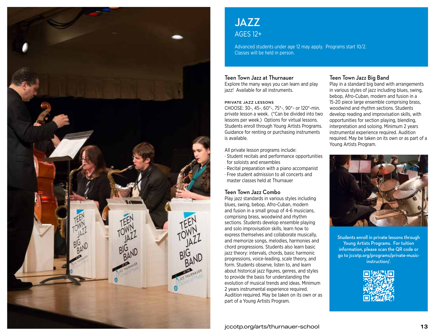

### JAZZ AGES 12+

Advanced students under age 12 may apply. Programs start 10/2. Classes will be held in person.

#### Teen Town Jazz at Thurnauer

Explore the many ways you can learn and play jazz! Available for all instruments.

#### PRIVATE JAZZ LESSONS

CHOOSE: 30-, 45-, 60\*-, 75\*-, 90\*- or 120\*-min. private lesson a week. (\*Can be divided into two lessons per week.) Options for virtual lessons. Students enroll through Young Artists Programs. Guidance for renting or purchasing instruments is available.

All private lesson programs include:

- ∙ Student recitals and performance opportunities for soloists and ensembles
- ∙ Recital preparation with a piano accompanist ∙ Free student admission to all concerts and master classes held at Thurnauer

#### Teen Town Jazz Combo

Play jazz standards in various styles including blues, swing, bebop, Afro-Cuban, modern and fusion in a small group of 4-6 musicians, comprising brass, woodwind and rhythm sections. Students develop ensemble playing and solo improvisation skills, learn how to express themselves and collaborate musically, and memorize songs, melodies, harmonies and chord progressions. Students also learn basic jazz theory: intervals, chords, basic harmonic progressions, voice-leading, scale theory, and form. Students observe, listen to, and learn about historical jazz figures, genres, and styles to provide the basis for understanding the evolution of musical trends and ideas. Minimum 2 years instrumental experience required. Audition required. May be taken on its own or as part of a Young Artists Program.

#### Teen Town Jazz Big Band

Play in a standard big band with arrangements in various styles of jazz including blues, swing, bebop, Afro-Cuban, modern and fusion in a 15-20 piece large ensemble comprising brass, woodwind and rhythm sections. Students develop reading and improvisation skills, with opportunities for section playing, blending, interpretation and soloing. Minimum 2 years instrumental experience required. Audition required. May be taken on its own or as part of a Young Artists Program.



Students enroll in private lessons through Young Artists Programs. For tuition information, please scan the QR code or go to jccotp.org/programs/private-musicinstruction/.

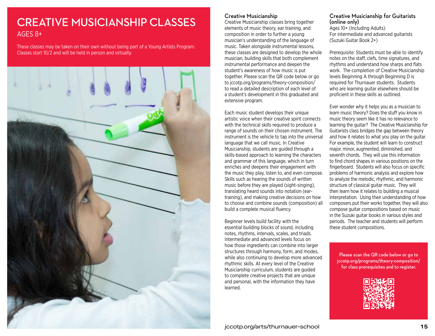### CREATIVE MUSICIANSHIP CLASSES AGES 8+

These classes may be taken on their own without being part of a Young Artists Program. Classes start 10/2 and will be held in person and virtually.



#### Creative Musicianship

Creative Musicianship classes bring together elements of music theory, ear training, and composition in order to further a young musician's understanding of the language of music. Taken alongside instrumental lessons, these classes are designed to develop the whole musician, building skills that both complement instrumental performance and deepen the student's awareness of how music is put together. Please scan the QR code below or go to jccotp.org/programs/theory-composition/ to read a detailed description of each level of a student's development in this graduated and extensive program.

Each music student develops their unique artistic voice when their creative spirit connects with the technical skills required to produce a range of sounds on their chosen instrument. The instrument is the vehicle to tap into the universal language that we call music. In Creative Musicianship, students are guided through a skills-based approach to learning the characters and grammar of this language, which in turn enriches and deepens their engagement with the music they play, listen to, and even compose. Skills such as hearing the sounds of written music before they are played (sight-singing), translating heard sounds into notation (eartraining), and making creative decisions on how to choose and combine sounds (composition) all build a complete musical fluency.

Beginner levels build facility with the essential building blocks of sound, including notes, rhythms, intervals, scales, and triads. Intermediate and advanced levels focus on how those ingredients can combine into larger structures through harmony, form, and modes, while also continuing to develop more advanced rhythmic skills. At every level of the Creative Musicianship curriculum, students are guided to complete creative projects that are unique and personal, with the information they have learned.

#### Creative Musicianship for Guitarists (online only)

Ages 10+ (Including Adults) For intermediate and advanced guitarists (Suzuki Guitar Book 2+)

Prerequisite: Students must be able to identify notes on the staff, clefs, time signatures, and rhythms and understand how sharps and flats work. The completion of Creative Musicianship levels Beginning A through Beginning D is required for Thurnauer students. Students who are learning guitar elsewhere should be proficient in these skills as outlined.

Ever wonder why it helps you as a musician to learn music theory? Does the stuff you know in music theory seem like it has no relevance to learning the guitar? The Creative Musicianship for Guitarists class bridges the gap between theory and how it relates to what you play on the guitar. For example, the student will learn to construct major, minor, augmented, diminished, and seventh chords. They will use this information to find chord shapes in various positions on the fingerboard. Students will also focus on specific problems of harmonic analysis and explore how to analyze the melodic, rhythmic, and harmonic structure of classical guitar music. They will then learn how it relates to building a musical interpretation. Using their understanding of how composers put their works together, they will also compose guitar compositions based on music in the Suzuki guitar books in various styles and periods. The teacher and students will perform these student compositions.

Please scan the QR code below or go to jccotp.org/programs/theory-composition/ for class prerequisites and to register.

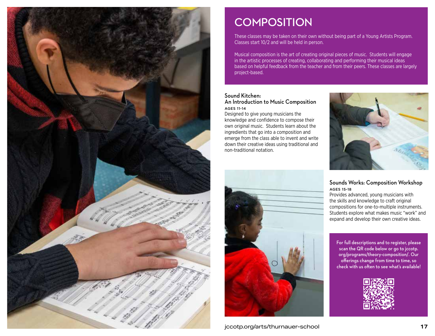

### **COMPOSITION**

These classes may be taken on their own without being part of a Young Artists Program. Classes start 10/2 and will be held in person.

Musical composition is the art of creating original pieces of music. Students will engage in the artistic processes of creating, collaborating and performing their musical ideas based on helpful feedback from the teacher and from their peers. These classes are largely project-based.

#### Sound Kitchen: An Introduction to Music Composition AGES 11-14

Designed to give young musicians the knowledge and confidence to compose their own original music. Students learn about the ingredients that go into a composition and emerge from the class able to invent and write down their creative ideas using traditional and non-traditional notation.





scan the QR code below or go to jccotp. org/programs/theory-composition/. Our offerings change from time to time, so check with us often to see what's available!



**16** jccotp.org/arts/thurnauer-school **17**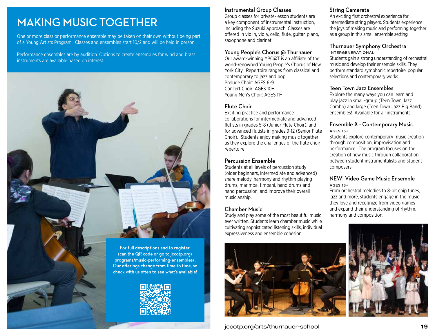### MAKING MUSIC TOGETHER

One or more class or performance ensemble may be taken on their own without being part of a Young Artists Program. Classes and ensembles start 10/2 and will be held in person.

Performance ensembles are by audition. Options to create ensembles for wind and brass instruments are available based on interest.



#### Instrumental Group Classes

Group classes for private-lesson students are a key component of instrumental instruction, including the Suzuki approach. Classes are offered in violin, viola, cello, flute, guitar, piano, saxophone and clarinet.

#### Young People's Chorus @ Thurnauer

Our award-winning YPC@T is an affiliate of the world-renowned Young People's Chorus of New York City. Repertoire ranges from classical and contemporary to jazz and pop. Prelude Choir: AGES 6-9 Concert Choir: AGES 10+ Young Men's Choir: AGES 11+

#### Flute Choir

Exciting practice and performance collaborations for intermediate and advanced flutists in grades 5-8 (Junior Flute Choir), and for advanced flutists in grades 9-12 (Senior Flute Choir). Students enjoy making music together as they explore the challenges of the flute choir repertoire.

#### Percussion Ensemble

Students at all levels of percussion study (older beginners, intermediate and advanced) share melody, harmony and rhythm playing drums, marimba, timpani, hand drums and hand percussion, and improve their overall musicianship.

#### Chamber Music

Study and play some of the most beautiful music ever written. Students learn chamber music while cultivating sophisticated listening skills, individual expressiveness and ensemble cohesion.



### String Camerata

An exciting first orchestral experience for intermediate string players. Students experience the joys of making music and performing together as a group in this small ensemble setting.

#### Thurnauer Symphony Orchestra INTERGENERATIONAL

Students gain a strong understanding of orchestral music and develop their ensemble skills. They perform standard symphonic repertoire, popular selections and contemporary works.

#### Teen Town Jazz Ensembles

Explore the many ways you can learn and play jazz in small-group (Teen Town Jazz Combo) and large (Teen Town Jazz Big Band) ensembles! Available for all instruments.

#### Ensemble X - Contemporary Music AGES 13+

Students explore contemporary music creation through composition, improvisation and performance. The program focuses on the creation of new music through collaboration between student instrumentalists and student composers.

#### NEW! Video Game Music Ensemble AGES 13+

From orchestral melodies to 8-bit chip tunes, jazz and more, students engage in the music they love and recognize from video games and expand their understanding of rhythm, harmony and composition.

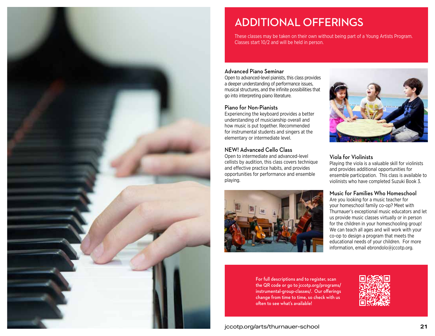

### ADDITIONAL OFFERINGS

These classes may be taken on their own without being part of a Young Artists Program. Classes start 10/2 and will be held in person.

#### Advanced Piano Seminar

Open to advanced-level pianists, this class provides a deeper understanding of performance issues, musical structures, and the infinite possibilities that go into interpreting piano literature.

#### Piano for Non-Pianists

Experiencing the keyboard provides a better understanding of musicianship overall and how music is put together. Recommended for instrumental students and singers at the elementary or intermediate level.

#### NEW! Advanced Cello Class

Open to intermediate and advanced-level cellists by audition, this class covers technique and effective practice habits, and provides opportunities for performance and ensemble playing.





#### Viola for Violinists

Playing the viola is a valuable skill for violinists and provides additional opportunities for ensemble participation. This class is available to violinists who have completed Suzuki Book 3.

#### Music for Families Who Homeschool

Are you looking for a music teacher for your homeschool family co-op? Meet with Thurnauer's exceptional music educators and let us provide music classes virtually or in person for the children in your homeschooling group! We can teach all ages and will work with your co-op to design a program that meets the educational needs of your children. For more information, email ebrondolo@jccotp.org.

For full descriptions and to register, scan the QR code or go to jccotp.org/programs/ instrumental-group-classes/. Our offerings change from time to time, so check with us often to see what's available!

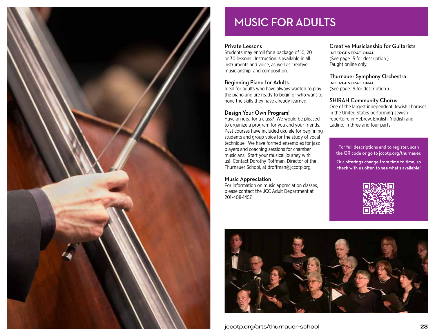

### MUSIC FOR ADULTS

#### Private Lessons

Students may enroll for a package of 10, 20 or 30 lessons. Instruction is available in all instruments and voice, as well as creative musicianship and composition.

#### Beginning Piano for Adults

Ideal for adults who have always wanted to play the piano and are ready to begin or who want to hone the skills they have already learned.

#### Design Your Own Program!

Have an idea for a class? We would be pleased to organize a program for you and your friends. Past courses have included ukulele for beginning students and group voice for the study of vocal technique. We have formed ensembles for jazz players and coaching sessions for chamber musicians. Start your musical journey with us! Contact Dorothy Roffman, Director of the Thurnauer School, at droffman@jccotp.org.

#### Music Appreciation

For information on music appreciation classes, please contact the JCC Adult Department at 201-408-1457.

Creative Musicianship for Guitarists INTERGENERATIONAL (See page 15 for description.) Taught online only.

Thurnauer Symphony Orchestra INTERGENERATIONAL (See page 19 for description.)

#### SHIRAH Community Chorus

One of the largest independent Jewish choruses in the United States performing Jewish repertoire in Hebrew, English, Yiddish and Ladino, in three and four parts.

For full descriptions and to register, scan the QR code or go to jccotp.org/thurnauer.

Our offerings change from time to time, so check with us often to see what's available!



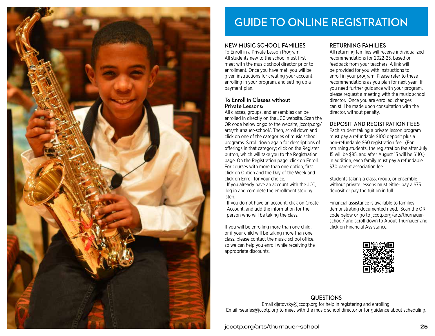

### GUIDE TO ONLINE REGISTRATION

#### NEW MUSIC SCHOOL FAMILIES

To Enroll in a Private Lesson Program: All students new to the school must first meet with the music school director prior to enrollment. Once you have met, you will be given instructions for creating your account, enrolling in your program, and setting up a payment plan.

#### To Enroll in Classes without Private Lessons:

All classes, groups, and ensembles can be enrolled in directly on the JCC website. Scan the QR code below or go to the website, jccotp.org/ arts/thurnauer-school/. Then, scroll down and click on one of the categories of music school programs. Scroll down again for descriptions of offerings in that category; click on the Register button, which will take you to the Registration page. On the Registration page, click on Enroll. For courses with more than one option, first click on Option and the Day of the Week and click on Enroll for your choice. ∙ If you already have an account with the JCC,

- log in and complete the enrollment step by step.
- ∙ If you do not have an account, click on Create Account, and add the information for the person who will be taking the class.

If you will be enrolling more than one child, or if your child will be taking more than one class, please contact the music school office, so we can help you enroll while receiving the appropriate discounts.

#### RETURNING FAMILIES

All returning families will receive individualized recommendations for 2022-23, based on feedback from your teachers. A link will be provided for you with instructions to enroll in your program. Please refer to these recommendations as you plan for next year. If you need further guidance with your program, please request a meeting with the music school director. Once you are enrolled, changes can still be made upon consultation with the director, without penalty.

#### DEPOSIT AND REGISTRATION FEES

Each student taking a private lesson program must pay a refundable \$100 deposit plus a non-refundable \$60 registration fee. (For returning students, the registration fee after July 15 will be \$85, and after August 15 will be \$110.) In addition, each family must pay a refundable \$30 parent association fee.

Students taking a class, group, or ensemble without private lessons must either pay a \$75 deposit or pay the tuition in full.

Financial assistance is available to families demonstrating documented need. Scan the QR code below or go to jccotp.org/arts/thurnauerschool/ and scroll down to About Thurnauer and click on Financial Assistance.



#### QUESTIONS

Email diatovsky@jccotp.org for help in registering and enrolling. Email rsearles@jccotp.org to meet with the music school director or for guidance about scheduling.

**24** jccotp.org/arts/thurnauer-school **25**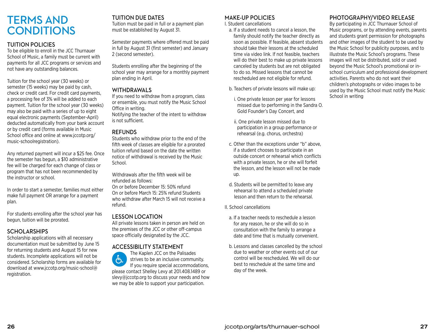### TERMS AND **CONDITIONS**

#### TUITION POLICIES

To be eligible to enroll in the JCC Thurnauer School of Music, a family must be current with payments for all JCC programs or services and not have any outstanding balances.

Tuition for the school year (30 weeks) or semester (15 weeks) may be paid by cash, check or credit card. For credit card payments, a processing fee of 3% will be added to each payment. Tuition for the school year (30 weeks) may also be paid with a series of up to eight equal electronic payments (September-April) deducted automatically from your bank account or by credit card (forms available in Music School office and online at www.jccotp.org/ music-schoolregistration).

Any returned payment will incur a \$25 fee. Once the semester has begun, a \$10 administrative fee will be charged for each change of class or program that has not been recommended by the instructor or school.

In order to start a semester, families must either make full payment OR arrange for a payment plan.

For students enrolling after the school year has begun, tuition will be prorated.

#### **SCHOLARSHIPS**

Scholarship applications with all necessary documentation must be submitted by June 15 for returning students and August 15 for new students. Incomplete applications will not be considered. Scholarship forms are available for download at www.jccotp.org/music-school@ registration.

#### TUITION DUE DATES

Tuition must be paid in full or a payment plan must be established by August 31.

Semester payments where offered must be paid in full by August 31 (first semester) and January 2 (second semester).

Students enrolling after the beginning of the school year may arrange for a monthly payment plan ending in April.

#### WITHDRAWALS

If you need to withdraw from a program, class or ensemble, you must notify the Music School Office in writing.

Notifying the teacher of the intent to withdraw is not sufficient.

#### **REFUNDS**

Students who withdraw prior to the end of the fifth week of classes are eligible for a prorated tuition refund based on the date the written notice of withdrawal is received by the Music School.

Withdrawals after the fifth week will be refunded as follows:

On or before December 15: 50% refund On or before March 15: 25% refund Students who withdraw after March 15 will not receive a refund.

#### LESSON LOCATION

All private lessons taken in person are held on the premises of the JCC or other off-campus space officially designated by the JCC.

#### ACCESSIBILITY STATEMENT

The Kaplen JCC on the Palisades ႜႜႜ႞ၟ strives to be an inclusive community. If you require special accommodations, please contact Shelley Levy at 201.408.1489 or slevy@jccotp.org to discuss your needs and how we may be able to support your participation.

#### MAKE-UP POLICIES

I. Student cancellations

- a. If a student needs to cancel a lesson, the family should notify the teacher directly as soon as possible. If feasible, absent students should take their lessons at the scheduled time via video link. If not feasible, teachers will do their best to make up private lessons canceled by students but are not obligated to do so. Missed lessons that cannot be rescheduled are not eligible for refund.
- b. Teachers of private lessons will make up:
- i. One private lesson per year for lessons missed due to performing in the Sandra O. Gold Founder's Day Concert, and
- ii. One private lesson missed due to participation in a group performance or rehearsal (e.g. chorus, orchestra)
- c. Other than the exceptions under "b" above, if a student chooses to participate in an outside concert or rehearsal which conflicts with a private lesson, he or she will forfeit the lesson, and the lesson will not be made up.
- d. Students will be permitted to leave any rehearsal to attend a scheduled private lesson and then return to the rehearsal.
- II. School cancellations
	- a. If a teacher needs to reschedule a lesson for any reason, he or she will do so in consultation with the family to arrange a date and time that is mutually convenient.
	- b. Lessons and classes cancelled by the school due to weather or other events out of our control will be rescheduled. We will do our best to reschedule at the same time and day of the week.

#### PHOTOGRAPHY/VIDEO RELEASE

By participating in JCC Thurnauer School of Music programs, or by attending events, parents and students grant permission for photographs and other images of the student to be used by the Music School for publicity purposes, and to illustrate the Music School's programs. These images will not be distributed, sold or used beyond the Music School's promotional or inschool curriculum and professional development activities. Parents who do not want their children's photographs or video images to be used by the Music School must notify the Music School in writing